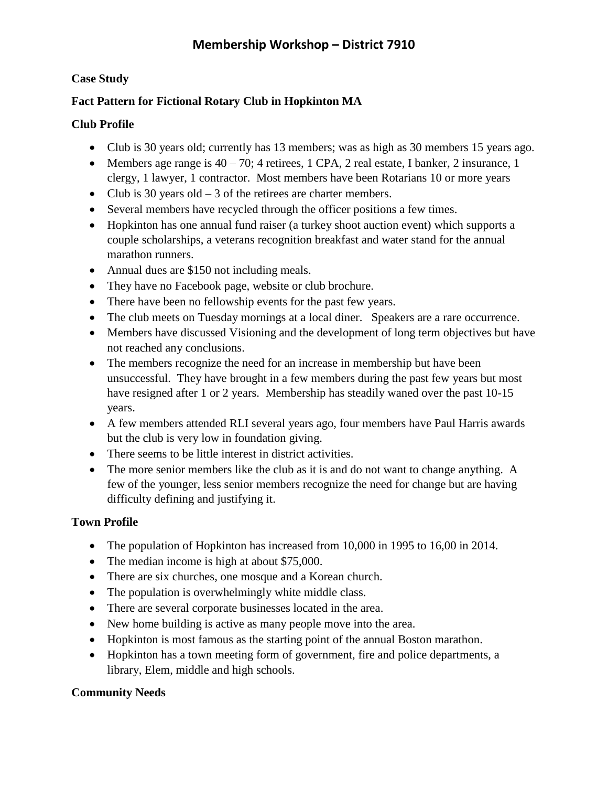## **Case Study**

## **Fact Pattern for Fictional Rotary Club in Hopkinton MA**

### **Club Profile**

- Club is 30 years old; currently has 13 members; was as high as 30 members 15 years ago.
- Members age range is  $40 70$ ; 4 retirees, 1 CPA, 2 real estate, I banker, 2 insurance, 1 clergy, 1 lawyer, 1 contractor. Most members have been Rotarians 10 or more years
- Club is 30 years old  $-3$  of the retirees are charter members.
- Several members have recycled through the officer positions a few times.
- Hopkinton has one annual fund raiser (a turkey shoot auction event) which supports a couple scholarships, a veterans recognition breakfast and water stand for the annual marathon runners.
- Annual dues are \$150 not including meals.
- They have no Facebook page, website or club brochure.
- There have been no fellowship events for the past few years.
- The club meets on Tuesday mornings at a local diner. Speakers are a rare occurrence.
- Members have discussed Visioning and the development of long term objectives but have not reached any conclusions.
- The members recognize the need for an increase in membership but have been unsuccessful. They have brought in a few members during the past few years but most have resigned after 1 or 2 years. Membership has steadily waned over the past 10-15 years.
- A few members attended RLI several years ago, four members have Paul Harris awards but the club is very low in foundation giving.
- There seems to be little interest in district activities.
- The more senior members like the club as it is and do not want to change anything. A few of the younger, less senior members recognize the need for change but are having difficulty defining and justifying it.

### **Town Profile**

- The population of Hopkinton has increased from 10,000 in 1995 to 16,00 in 2014.
- The median income is high at about \$75,000.
- There are six churches, one mosque and a Korean church.
- The population is overwhelmingly white middle class.
- There are several corporate businesses located in the area.
- New home building is active as many people move into the area.
- Hopkinton is most famous as the starting point of the annual Boston marathon.
- Hopkinton has a town meeting form of government, fire and police departments, a library, Elem, middle and high schools.

## **Community Needs**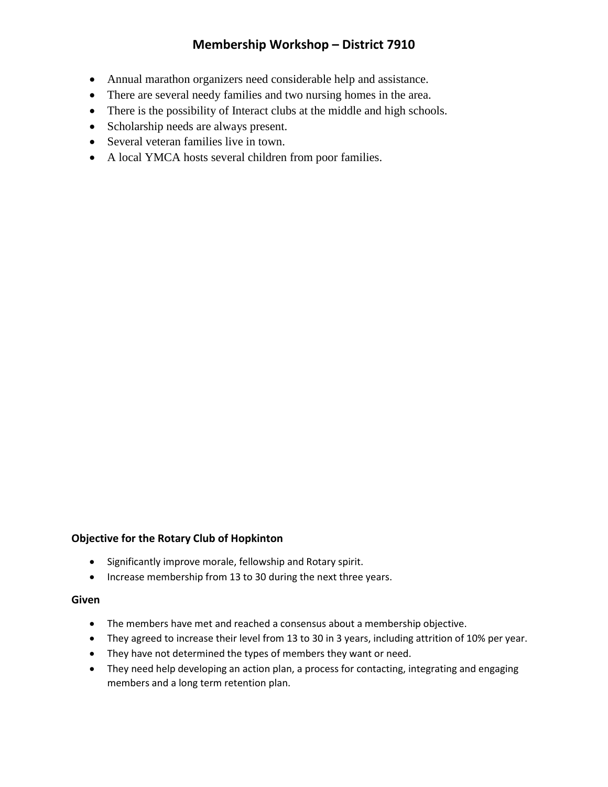- Annual marathon organizers need considerable help and assistance.
- There are several needy families and two nursing homes in the area.
- There is the possibility of Interact clubs at the middle and high schools.
- Scholarship needs are always present.
- Several veteran families live in town.
- A local YMCA hosts several children from poor families.

#### **Objective for the Rotary Club of Hopkinton**

- Significantly improve morale, fellowship and Rotary spirit.
- Increase membership from 13 to 30 during the next three years.

#### **Given**

- The members have met and reached a consensus about a membership objective.
- They agreed to increase their level from 13 to 30 in 3 years, including attrition of 10% per year.
- They have not determined the types of members they want or need.
- They need help developing an action plan, a process for contacting, integrating and engaging members and a long term retention plan.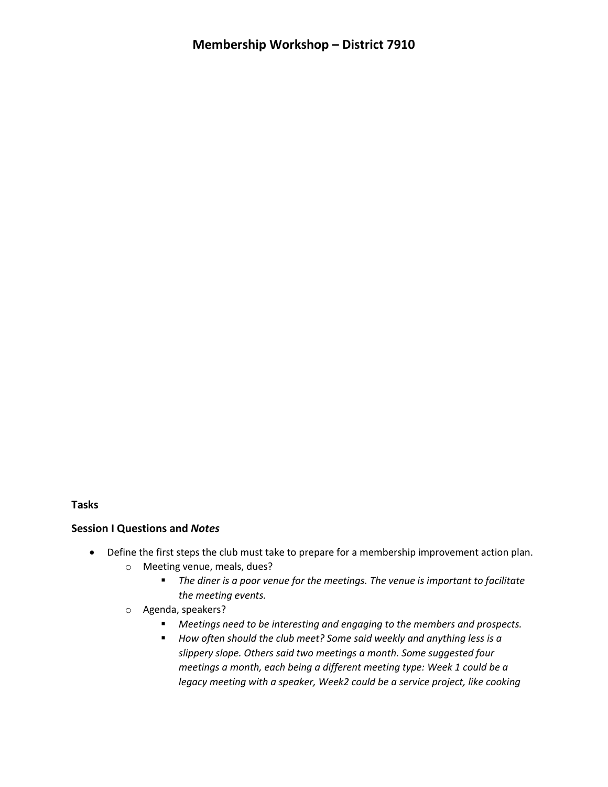**Tasks**

#### **Session I Questions and** *Notes*

- Define the first steps the club must take to prepare for a membership improvement action plan.
	- o Meeting venue, meals, dues?
		- *The diner is a poor venue for the meetings. The venue is important to facilitate the meeting events.*
	- o Agenda, speakers?
		- *Meetings need to be interesting and engaging to the members and prospects.*
		- *How often should the club meet? Some said weekly and anything less is a slippery slope. Others said two meetings a month. Some suggested four meetings a month, each being a different meeting type: Week 1 could be a legacy meeting with a speaker, Week2 could be a service project, like cooking*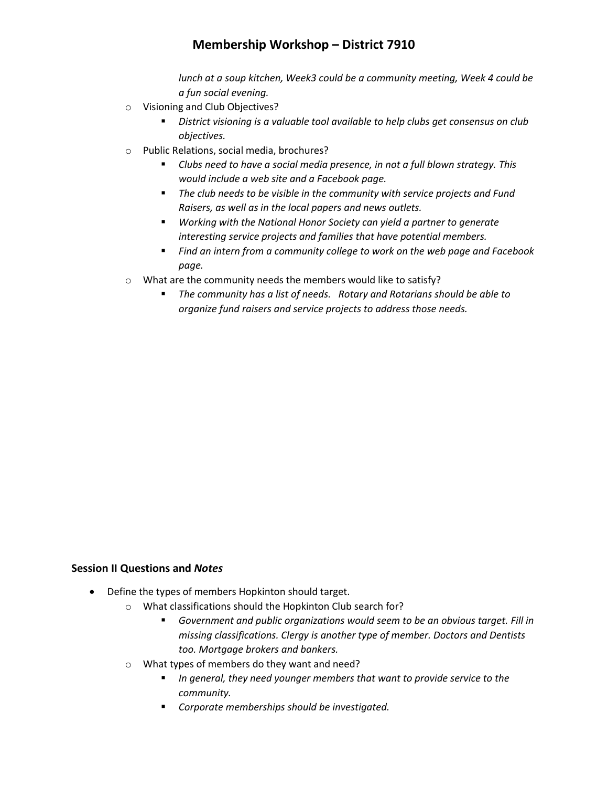*lunch at a soup kitchen, Week3 could be a community meeting, Week 4 could be a fun social evening.*

- o Visioning and Club Objectives?
	- *District visioning is a valuable tool available to help clubs get consensus on club objectives.*
- o Public Relations, social media, brochures?
	- *Clubs need to have a social media presence, in not a full blown strategy. This would include a web site and a Facebook page.*
	- *The club needs to be visible in the community with service projects and Fund Raisers, as well as in the local papers and news outlets.*
	- *Working with the National Honor Society can yield a partner to generate interesting service projects and families that have potential members.*
	- *Find an intern from a community college to work on the web page and Facebook page.*
- o What are the community needs the members would like to satisfy?
	- *The community has a list of needs. Rotary and Rotarians should be able to organize fund raisers and service projects to address those needs.*

#### **Session II Questions and** *Notes*

- Define the types of members Hopkinton should target.
	- o What classifications should the Hopkinton Club search for?
		- *Government and public organizations would seem to be an obvious target. Fill in missing classifications. Clergy is another type of member. Doctors and Dentists too. Mortgage brokers and bankers.*
	- o What types of members do they want and need?
		- *In general, they need younger members that want to provide service to the community.*
		- *Corporate memberships should be investigated.*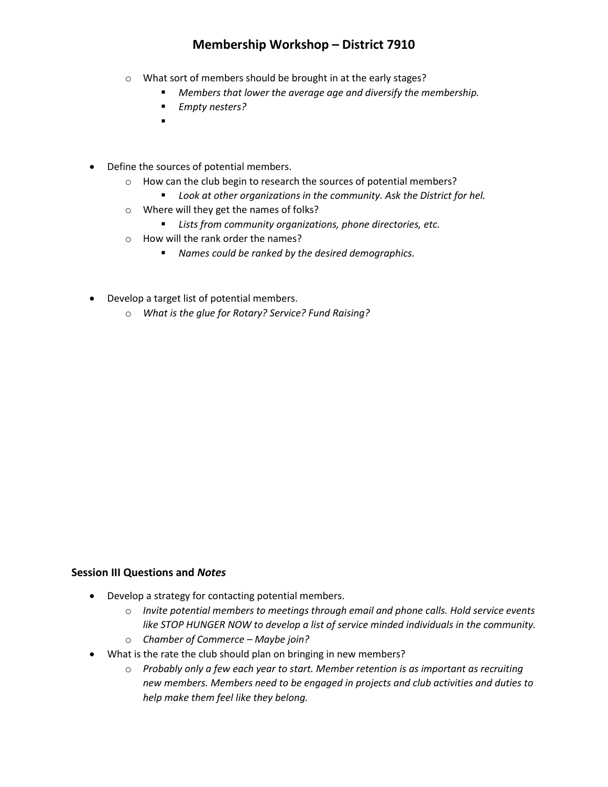- o What sort of members should be brought in at the early stages?
	- *Members that lower the average age and diversify the membership.*
	- *Empty nesters?*
	- .
- Define the sources of potential members.
	- o How can the club begin to research the sources of potential members?
		- *Look at other organizations in the community. Ask the District for hel.*
	- o Where will they get the names of folks?
		- *Lists from community organizations, phone directories, etc.*
	- o How will the rank order the names?
		- *Names could be ranked by the desired demographics.*
- Develop a target list of potential members.
	- o *What is the glue for Rotary? Service? Fund Raising?*

#### **Session III Questions and** *Notes*

- Develop a strategy for contacting potential members.
	- o *Invite potential members to meetings through email and phone calls. Hold service events like STOP HUNGER NOW to develop a list of service minded individuals in the community.*
	- o *Chamber of Commerce – Maybe join?*
- What is the rate the club should plan on bringing in new members?
	- o *Probably only a few each year to start. Member retention is as important as recruiting new members. Members need to be engaged in projects and club activities and duties to help make them feel like they belong.*